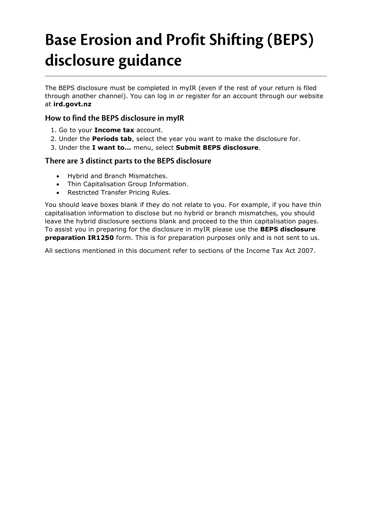# **Base Erosion and Profit Shifting (BEPS) disclosure guidance**

The BEPS disclosure must be completed in myIR (even if the rest of your return is filed through another channel). You can log in or register for an account through our website at **ird.govt.nz**

### **How to find the BEPS disclosure in myIR**

- 1. Go to your **Income tax** account.
- 2. Under the **Periods tab**, select the year you want to make the disclosure for.
- 3. Under the **I want to...** menu, select **Submit BEPS disclosure**.

#### **There are 3 distinct parts to the BEPS disclosure**

- Hybrid and Branch Mismatches.
- Thin Capitalisation Group Information.
- Restricted Transfer Pricing Rules.

You should leave boxes blank if they do not relate to you. For example, if you have thin capitalisation information to disclose but no hybrid or branch mismatches, you should leave the hybrid disclosure sections blank and proceed to the thin capitalisation pages. To assist you in preparing for the disclosure in myIR please use the **BEPS disclosure preparation IR1250** form. This is for preparation purposes only and is not sent to us.

All sections mentioned in this document refer to sections of the Income Tax Act 2007.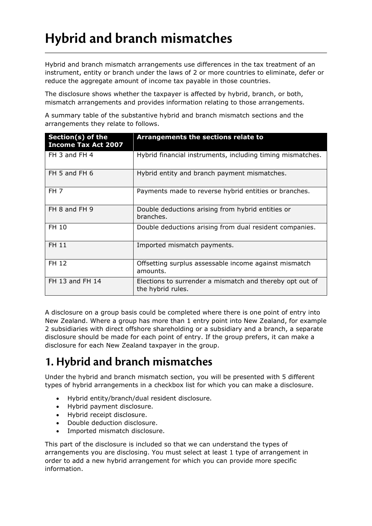## **Hybrid and branch mismatches**

Hybrid and branch mismatch arrangements use differences in the tax treatment of an instrument, entity or branch under the laws of 2 or more countries to eliminate, defer or reduce the aggregate amount of income tax payable in those countries.

The disclosure shows whether the taxpayer is affected by hybrid, branch, or both, mismatch arrangements and provides information relating to those arrangements.

A summary table of the substantive hybrid and branch mismatch sections and the arrangements they relate to follows.

| Section(s) of the<br><b>Income Tax Act 2007</b> | Arrangements the sections relate to                                           |
|-------------------------------------------------|-------------------------------------------------------------------------------|
| FH 3 and FH 4                                   | Hybrid financial instruments, including timing mismatches.                    |
| FH 5 and FH 6                                   | Hybrid entity and branch payment mismatches.                                  |
| FH <sub>7</sub>                                 | Payments made to reverse hybrid entities or branches.                         |
| FH 8 and FH 9                                   | Double deductions arising from hybrid entities or<br>branches.                |
| FH 10                                           | Double deductions arising from dual resident companies.                       |
| FH 11                                           | Imported mismatch payments.                                                   |
| FH 12                                           | Offsetting surplus assessable income against mismatch<br>amounts.             |
| FH 13 and FH 14                                 | Elections to surrender a mismatch and thereby opt out of<br>the hybrid rules. |

A disclosure on a group basis could be completed where there is one point of entry into New Zealand. Where a group has more than 1 entry point into New Zealand, for example 2 subsidiaries with direct offshore shareholding or a subsidiary and a branch, a separate disclosure should be made for each point of entry. If the group prefers, it can make a disclosure for each New Zealand taxpayer in the group.

### **1. Hybrid and branch mismatches**

Under the hybrid and branch mismatch section, you will be presented with 5 different types of hybrid arrangements in a checkbox list for which you can make a disclosure.

- Hybrid entity/branch/dual resident disclosure.
- Hybrid payment disclosure.
- Hybrid receipt disclosure.
- Double deduction disclosure.
- Imported mismatch disclosure.

This part of the disclosure is included so that we can understand the types of arrangements you are disclosing. You must select at least 1 type of arrangement in order to add a new hybrid arrangement for which you can provide more specific information.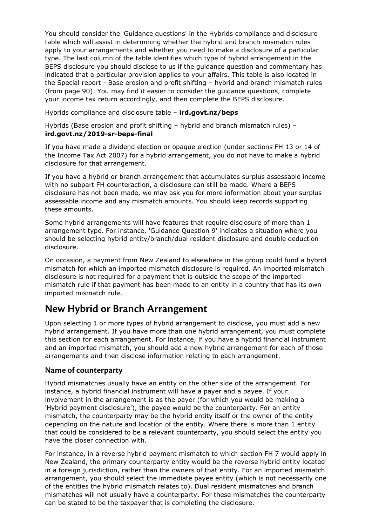You should consider the 'Guidance questions' in the Hybrids compliance and disclosure table which will assist in determining whether the hybrid and branch mismatch rules apply to your arrangements and whether you need to make a disclosure of a particular type. The last column of the table identifies which type of hybrid arrangement in the BEPS disclosure you should disclose to us if the guidance question and commentary has indicated that a particular provision applies to your affairs. This table is also located in the Special report - Base erosion and profit shifting – hybrid and branch mismatch rules (from page 90). You may find it easier to consider the guidance questions, complete your income tax return accordingly, and then complete the BEPS disclosure.

Hybrids compliance and disclosure table – **ird.govt.nz/beps**

Hybrids (Base erosion and profit shifting – hybrid and branch mismatch rules) – **ird.govt.nz/2019-sr-beps-final**

If you have made a dividend election or opaque election (under sections FH 13 or 14 of the Income Tax Act 2007) for a hybrid arrangement, you do not have to make a hybrid disclosure for that arrangement.

If you have a hybrid or branch arrangement that accumulates surplus assessable income with no subpart FH counteraction, a disclosure can still be made. Where a BEPS disclosure has not been made, we may ask you for more information about your surplus assessable income and any mismatch amounts. You should keep records supporting these amounts.

Some hybrid arrangements will have features that require disclosure of more than 1 arrangement type. For instance, 'Guidance Question 9' indicates a situation where you should be selecting hybrid entity/branch/dual resident disclosure and double deduction disclosure.

On occasion, a payment from New Zealand to elsewhere in the group could fund a hybrid mismatch for which an imported mismatch disclosure is required. An imported mismatch disclosure is not required for a payment that is outside the scope of the imported mismatch rule if that payment has been made to an entity in a country that has its own imported mismatch rule.

### **New Hybrid or Branch Arrangement**

Upon selecting 1 or more types of hybrid arrangement to disclose, you must add a new hybrid arrangement. If you have more than one hybrid arrangement, you must complete this section for each arrangement. For instance, if you have a hybrid financial instrument and an imported mismatch, you should add a new hybrid arrangement for each of those arrangements and then disclose information relating to each arrangement.

#### **Name of counterparty**

Hybrid mismatches usually have an entity on the other side of the arrangement. For instance, a hybrid financial instrument will have a payer and a payee. If your involvement in the arrangement is as the payer (for which you would be making a 'Hybrid payment disclosure'), the payee would be the counterparty. For an entity mismatch, the counterparty may be the hybrid entity itself or the owner of the entity depending on the nature and location of the entity. Where there is more than 1 entity that could be considered to be a relevant counterparty, you should select the entity you have the closer connection with.

For instance, in a reverse hybrid payment mismatch to which section FH 7 would apply in New Zealand, the primary counterparty entity would be the reverse hybrid entity located in a foreign jurisdiction, rather than the owners of that entity. For an imported mismatch arrangement, you should select the immediate payee entity (which is not necessarily one of the entities the hybrid mismatch relates to). Dual resident mismatches and branch mismatches will not usually have a counterparty. For these mismatches the counterparty can be stated to be the taxpayer that is completing the disclosure.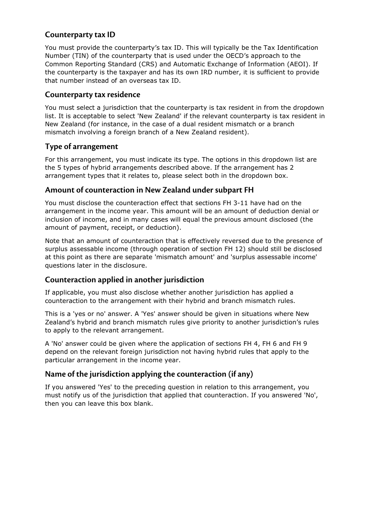### **Counterparty tax ID**

You must provide the counterparty's tax ID. This will typically be the Tax Identification Number (TIN) of the counterparty that is used under the OECD's approach to the Common Reporting Standard (CRS) and Automatic Exchange of Information (AEOI). If the counterparty is the taxpayer and has its own IRD number, it is sufficient to provide that number instead of an overseas tax ID.

#### **Counterparty tax residence**

You must select a jurisdiction that the counterparty is tax resident in from the dropdown list. It is acceptable to select 'New Zealand' if the relevant counterparty is tax resident in New Zealand (for instance, in the case of a dual resident mismatch or a branch mismatch involving a foreign branch of a New Zealand resident).

#### **Type of arrangement**

For this arrangement, you must indicate its type. The options in this dropdown list are the 5 types of hybrid arrangements described above. If the arrangement has 2 arrangement types that it relates to, please select both in the dropdown box.

### **Amount of counteraction in New Zealand under subpart FH**

You must disclose the counteraction effect that sections FH 3-11 have had on the arrangement in the income year. This amount will be an amount of deduction denial or inclusion of income, and in many cases will equal the previous amount disclosed (the amount of payment, receipt, or deduction).

Note that an amount of counteraction that is effectively reversed due to the presence of surplus assessable income (through operation of section FH 12) should still be disclosed at this point as there are separate 'mismatch amount' and 'surplus assessable income' questions later in the disclosure.

### **Counteraction applied in another jurisdiction**

If applicable, you must also disclose whether another jurisdiction has applied a counteraction to the arrangement with their hybrid and branch mismatch rules.

This is a 'yes or no' answer. A 'Yes' answer should be given in situations where New Zealand's hybrid and branch mismatch rules give priority to another jurisdiction's rules to apply to the relevant arrangement.

A 'No' answer could be given where the application of sections FH 4, FH 6 and FH 9 depend on the relevant foreign jurisdiction not having hybrid rules that apply to the particular arrangement in the income year.

### **Name of the jurisdiction applying the counteraction (if any)**

If you answered 'Yes' to the preceding question in relation to this arrangement, you must notify us of the jurisdiction that applied that counteraction. If you answered 'No', then you can leave this box blank.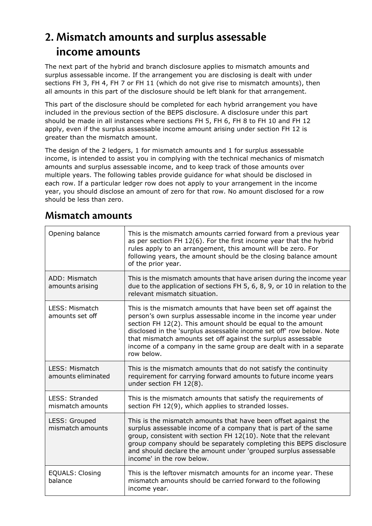### **2. Mismatch amounts and surplus assessable income amounts**

The next part of the hybrid and branch disclosure applies to mismatch amounts and surplus assessable income. If the arrangement you are disclosing is dealt with under sections FH 3, FH 4, FH 7 or FH 11 (which do not give rise to mismatch amounts), then all amounts in this part of the disclosure should be left blank for that arrangement.

This part of the disclosure should be completed for each hybrid arrangement you have included in the previous section of the BEPS disclosure. A disclosure under this part should be made in all instances where sections FH 5, FH 6, FH 8 to FH 10 and FH 12 apply, even if the surplus assessable income amount arising under section FH 12 is greater than the mismatch amount.

The design of the 2 ledgers, 1 for mismatch amounts and 1 for surplus assessable income, is intended to assist you in complying with the technical mechanics of mismatch amounts and surplus assessable income, and to keep track of those amounts over multiple years. The following tables provide guidance for what should be disclosed in each row. If a particular ledger row does not apply to your arrangement in the income year, you should disclose an amount of zero for that row. No amount disclosed for a row should be less than zero.

| Opening balance                      | This is the mismatch amounts carried forward from a previous year<br>as per section FH 12(6). For the first income year that the hybrid<br>rules apply to an arrangement, this amount will be zero. For<br>following years, the amount should be the closing balance amount<br>of the prior year.                                                                                                                             |
|--------------------------------------|-------------------------------------------------------------------------------------------------------------------------------------------------------------------------------------------------------------------------------------------------------------------------------------------------------------------------------------------------------------------------------------------------------------------------------|
| ADD: Mismatch<br>amounts arising     | This is the mismatch amounts that have arisen during the income year<br>due to the application of sections FH 5, 6, 8, 9, or 10 in relation to the<br>relevant mismatch situation.                                                                                                                                                                                                                                            |
| LESS: Mismatch<br>amounts set off    | This is the mismatch amounts that have been set off against the<br>person's own surplus assessable income in the income year under<br>section FH 12(2). This amount should be equal to the amount<br>disclosed in the 'surplus assessable income set off' row below. Note<br>that mismatch amounts set off against the surplus assessable<br>income of a company in the same group are dealt with in a separate<br>row below. |
| LESS: Mismatch<br>amounts eliminated | This is the mismatch amounts that do not satisfy the continuity<br>requirement for carrying forward amounts to future income years<br>under section FH 12(8).                                                                                                                                                                                                                                                                 |
| LESS: Stranded<br>mismatch amounts   | This is the mismatch amounts that satisfy the requirements of<br>section FH 12(9), which applies to stranded losses.                                                                                                                                                                                                                                                                                                          |
| LESS: Grouped<br>mismatch amounts    | This is the mismatch amounts that have been offset against the<br>surplus assessable income of a company that is part of the same<br>group, consistent with section FH 12(10). Note that the relevant<br>group company should be separately completing this BEPS disclosure<br>and should declare the amount under 'grouped surplus assessable<br>income' in the row below.                                                   |
| <b>EQUALS: Closing</b><br>balance    | This is the leftover mismatch amounts for an income year. These<br>mismatch amounts should be carried forward to the following<br>income year.                                                                                                                                                                                                                                                                                |

### **Mismatch amounts**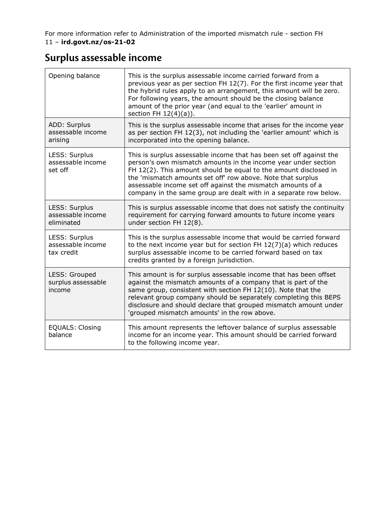For more information refer to Administration of the imported mismatch rule - section FH 11 – **ird.govt.nz/os-21-02**

### **Surplus assessable income**

| Opening balance                                  | This is the surplus assessable income carried forward from a<br>previous year as per section FH 12(7). For the first income year that<br>the hybrid rules apply to an arrangement, this amount will be zero.<br>For following years, the amount should be the closing balance<br>amount of the prior year (and equal to the 'earlier' amount in<br>section FH $12(4)(a)$ ).                                  |
|--------------------------------------------------|--------------------------------------------------------------------------------------------------------------------------------------------------------------------------------------------------------------------------------------------------------------------------------------------------------------------------------------------------------------------------------------------------------------|
| ADD: Surplus<br>assessable income<br>arising     | This is the surplus assessable income that arises for the income year<br>as per section FH 12(3), not including the 'earlier amount' which is<br>incorporated into the opening balance.                                                                                                                                                                                                                      |
| LESS: Surplus<br>assessable income<br>set off    | This is surplus assessable income that has been set off against the<br>person's own mismatch amounts in the income year under section<br>FH 12(2). This amount should be equal to the amount disclosed in<br>the 'mismatch amounts set off' row above. Note that surplus<br>assessable income set off against the mismatch amounts of a<br>company in the same group are dealt with in a separate row below. |
| LESS: Surplus<br>assessable income<br>eliminated | This is surplus assessable income that does not satisfy the continuity<br>requirement for carrying forward amounts to future income years<br>under section FH 12(8).                                                                                                                                                                                                                                         |
| LESS: Surplus<br>assessable income<br>tax credit | This is the surplus assessable income that would be carried forward<br>to the next income year but for section FH $12(7)(a)$ which reduces<br>surplus assessable income to be carried forward based on tax<br>credits granted by a foreign jurisdiction.                                                                                                                                                     |
| LESS: Grouped<br>surplus assessable<br>income    | This amount is for surplus assessable income that has been offset<br>against the mismatch amounts of a company that is part of the<br>same group, consistent with section FH 12(10). Note that the<br>relevant group company should be separately completing this BEPS<br>disclosure and should declare that grouped mismatch amount under<br>'grouped mismatch amounts' in the row above.                   |
| <b>EQUALS: Closing</b><br>balance                | This amount represents the leftover balance of surplus assessable<br>income for an income year. This amount should be carried forward<br>to the following income year.                                                                                                                                                                                                                                       |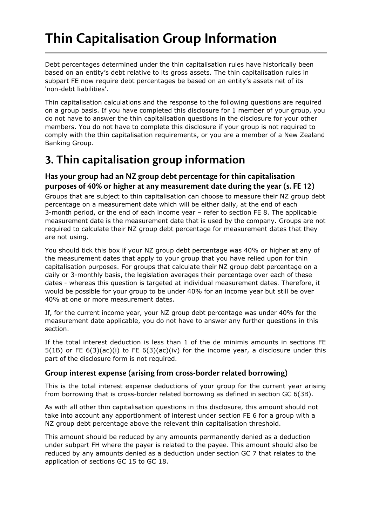## **Thin Capitalisation Group Information**

Debt percentages determined under the thin capitalisation rules have historically been based on an entity's debt relative to its gross assets. The thin capitalisation rules in subpart FE now require debt percentages be based on an entity's assets net of its 'non-debt liabilities'.

Thin capitalisation calculations and the response to the following questions are required on a group basis. If you have completed this disclosure for 1 member of your group, you do not have to answer the thin capitalisation questions in the disclosure for your other members. You do not have to complete this disclosure if your group is not required to comply with the thin capitalisation requirements, or you are a member of a New Zealand Banking Group.

### **3. Thin capitalisation group information**

### **Has your group had an NZ group debt percentage for thin capitalisation purposes of 40% or higher at any measurement date during the year (s. FE 12)**

Groups that are subject to thin capitalisation can choose to measure their NZ group debt percentage on a measurement date which will be either daily, at the end of each 3-month period, or the end of each income year – refer to section FE 8. The applicable measurement date is the measurement date that is used by the company. Groups are not required to calculate their NZ group debt percentage for measurement dates that they are not using.

You should tick this box if your NZ group debt percentage was 40% or higher at any of the measurement dates that apply to your group that you have relied upon for thin capitalisation purposes. For groups that calculate their NZ group debt percentage on a daily or 3-monthly basis, the legislation averages their percentage over each of these dates - whereas this question is targeted at individual measurement dates. Therefore, it would be possible for your group to be under 40% for an income year but still be over 40% at one or more measurement dates.

If, for the current income year, your NZ group debt percentage was under 40% for the measurement date applicable, you do not have to answer any further questions in this section.

If the total interest deduction is less than 1 of the de minimis amounts in sections FE  $5(1B)$  or FE  $6(3)(ac)(i)$  to FE  $6(3)(ac)(iv)$  for the income year, a disclosure under this part of the disclosure form is not required.

### **Group interest expense (arising from cross-border related borrowing)**

This is the total interest expense deductions of your group for the current year arising from borrowing that is cross-border related borrowing as defined in section GC 6(3B).

As with all other thin capitalisation questions in this disclosure, this amount should not take into account any apportionment of interest under section FE 6 for a group with a NZ group debt percentage above the relevant thin capitalisation threshold.

This amount should be reduced by any amounts permanently denied as a deduction under subpart FH where the payer is related to the payee. This amount should also be reduced by any amounts denied as a deduction under section GC 7 that relates to the application of sections GC 15 to GC 18.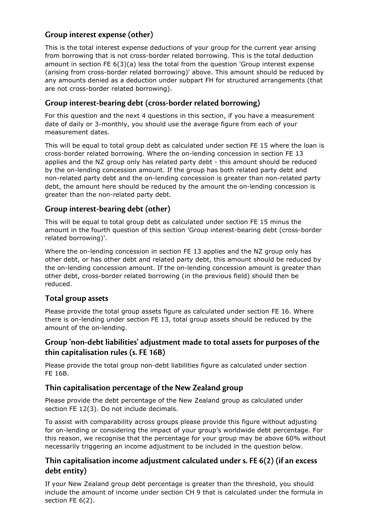### **Group interest expense (other)**

This is the total interest expense deductions of your group for the current year arising from borrowing that is not cross-border related borrowing. This is the total deduction amount in section FE  $6(3)(a)$  less the total from the question 'Group interest expense (arising from cross-border related borrowing)' above. This amount should be reduced by any amounts denied as a deduction under subpart FH for structured arrangements (that are not cross-border related borrowing).

### **Group interest-bearing debt (cross-border related borrowing)**

For this question and the next 4 questions in this section, if you have a measurement date of daily or 3-monthly, you should use the average figure from each of your measurement dates.

This will be equal to total group debt as calculated under section FE 15 where the loan is cross-border related borrowing. Where the on-lending concession in section FE 13 applies and the NZ group only has related party debt - this amount should be reduced by the on-lending concession amount. If the group has both related party debt and non-related party debt and the on-lending concession is greater than non-related party debt, the amount here should be reduced by the amount the on-lending concession is greater than the non-related party debt.

### **Group interest-bearing debt (other)**

This will be equal to total group debt as calculated under section FE 15 minus the amount in the fourth question of this section 'Group interest-bearing debt (cross-border related borrowing)'.

Where the on-lending concession in section FE 13 applies and the NZ group only has other debt, or has other debt and related party debt, this amount should be reduced by the on-lending concession amount. If the on-lending concession amount is greater than other debt, cross-border related borrowing (in the previous field) should then be reduced.

### **Total group assets**

Please provide the total group assets figure as calculated under section FE 16. Where there is on-lending under section FE 13, total group assets should be reduced by the amount of the on-lending.

### **Group 'non-debt liabilities' adjustment made to total assets for purposes of the thin capitalisation rules (s. FE 16B)**

Please provide the total group non-debt liabilities figure as calculated under section FE 16B.

### **Thin capitalisation percentage of the New Zealand group**

Please provide the debt percentage of the New Zealand group as calculated under section FE 12(3). Do not include decimals.

To assist with comparability across groups please provide this figure without adjusting for on-lending or considering the impact of your group's worldwide debt percentage. For this reason, we recognise that the percentage for your group may be above 60% without necessarily triggering an income adjustment to be included in the question below.

### **Thin capitalisation income adjustment calculated under s. FE 6(2) (if an excess debt entity)**

If your New Zealand group debt percentage is greater than the threshold, you should include the amount of income under section CH 9 that is calculated under the formula in section FE 6(2).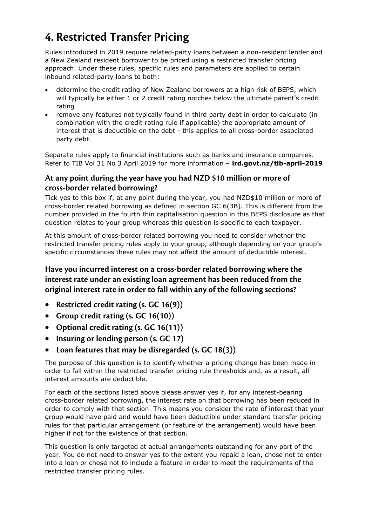### **4. Restricted Transfer Pricing**

Rules introduced in 2019 require related-party loans between a non-resident lender and a New Zealand resident borrower to be priced using a restricted transfer pricing approach. Under these rules, specific rules and parameters are applied to certain inbound related-party loans to both:

- determine the credit rating of New Zealand borrowers at a high risk of BEPS, which will typically be either 1 or 2 credit rating notches below the ultimate parent's credit rating
- remove any features not typically found in third party debt in order to calculate (in combination with the credit rating rule if applicable) the appropriate amount of interest that is deductible on the debt - this applies to all cross-border associated party debt.

Separate rules apply to financial institutions such as banks and insurance companies. Refer to TIB Vol 31 No 3 April 2019 for more information – **ird.govt.nz/tib-april-2019**

### **At any point during the year have you had NZD \$10 million or more of cross-border related borrowing?**

Tick yes to this box if, at any point during the year, you had NZD\$10 million or more of cross-border related borrowing as defined in section GC 6(3B). This is different from the number provided in the fourth thin capitalisation question in this BEPS disclosure as that question relates to your group whereas this question is specific to each taxpayer.

At this amount of cross-border related borrowing you need to consider whether the restricted transfer pricing rules apply to your group, although depending on your group's specific circumstances these rules may not affect the amount of deductible interest.

### **Have you incurred interest on a cross-border related borrowing where the interest rate under an existing loan agreement has been reduced from the original interest rate in order to fall within any of the following sections?**

- **Restricted credit rating (s. GC 16(9))**
- **Group credit rating (s. GC 16(10))**
- **Optional credit rating (s. GC 16(11))**
- **Insuring or lending person (s. GC 17)**
- **Loan features that may be disregarded (s. GC 18(3))**

The purpose of this question is to identify whether a pricing change has been made in order to fall within the restricted transfer pricing rule thresholds and, as a result, all interest amounts are deductible.

For each of the sections listed above please answer yes if, for any interest-bearing cross-border related borrowing, the interest rate on that borrowing has been reduced in order to comply with that section. This means you consider the rate of interest that your group would have paid and would have been deductible under standard transfer pricing rules for that particular arrangement (or feature of the arrangement) would have been higher if not for the existence of that section.

This question is only targeted at actual arrangements outstanding for any part of the year. You do not need to answer yes to the extent you repaid a loan, chose not to enter into a loan or chose not to include a feature in order to meet the requirements of the restricted transfer pricing rules.